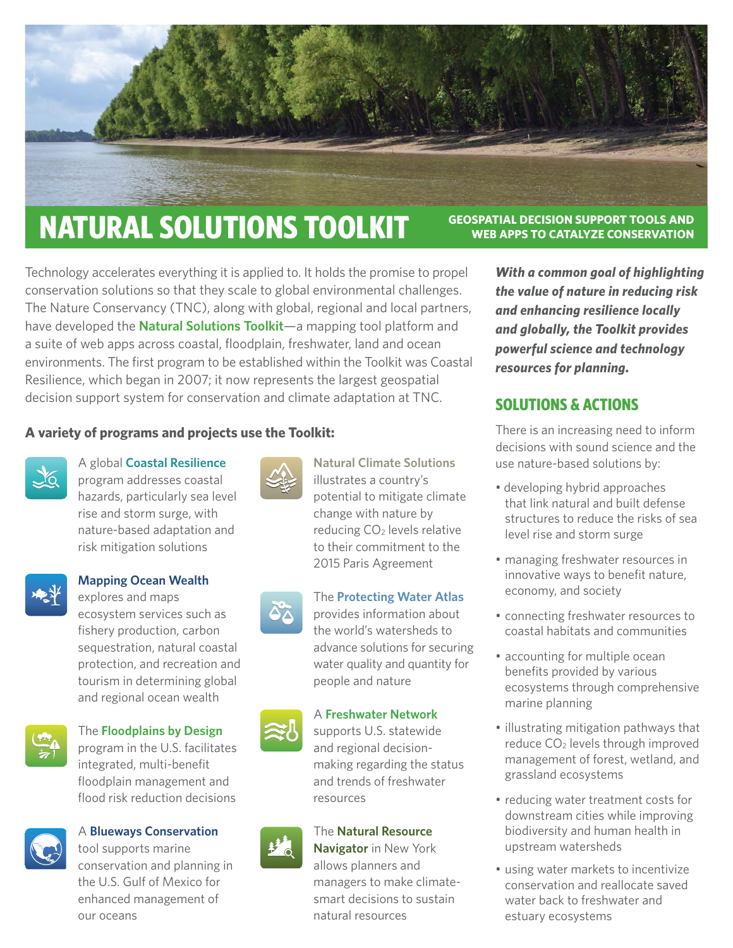

# **NATURAL SOLUTIONS TOOLKIT GEOSPATIAL DECISION SUPPORT TOOLS AND**

Technology accelerates everything it is applied to. It holds the promise to propel conservation solutions so that they scale to global environmental challenges. The Nature Conservancy (TNC), along with global, regional and local partners, have developed the **[Natural Solutions Toolkit](http://coastalresilience.org/natural-solutions/toolkit/)**—a mapping tool platform and a suite of web apps across coastal, floodplain, freshwater, land and ocean environments. The first program to be established within the Toolkit was Coastal Resilience, which began in 2007; it now represents the largest geospatial decision support system for conservation and climate adaptation at TNC.

#### **A variety of programs and projects use the Toolkit:**



A global **[Coastal Resilience](http://coastalresilience.org/)** program addresses coastal hazards, particularly sea level rise and storm surge, with nature-based adaptation and risk mitigation solutions



#### **[Mapping Ocean Wealth](http://oceanwealth.org)**

explores and maps ecosystem services such as fishery production, carbon sequestration, natural coastal protection, and recreation and tourism in determining global and regional ocean wealth



#### The **[Floodplains by Design](http://floodplainsbydesign.org)**

program in the U.S. facilitates integrated, multi-benefit floodplain management and flood risk reduction decisions



#### A **[Blueways Conservation](http://migratoryblueways.org/)**

tool supports marine conservation and planning in the U.S. Gulf of Mexico for enhanced management of our oceans

**[Natural Climate Solutions](https://player.vimeo.com/video/235327939?autoplay=1)** illustrates a country's potential to mitigate climate change with nature by reducing CO2 levels relative to their commitment to the 2015 Paris Agreement

#### The **[Protecting Water Atlas](http://maps.protectingwater.org/)**

provides information about the world's watersheds to advance solutions for securing water quality and quantity for people and nature



#### A **[Freshwater Network](http://freshwaternetwork.org/)**

supports U.S. statewide and regional decisionmaking regarding the status and trends of freshwater resources

# The **[Natural Resource](http://www.naturalresourcenavigator.org/)**

**[Navigator](http://www.naturalresourcenavigator.org/)** in New York allows planners and managers to make climatesmart decisions to sustain natural resources

**WEB APPS TO CATALYZE CONSERVATION** 

*With a common goal of highlighting the value of nature in reducing risk and enhancing resilience locally and globally, the Toolkit provides powerful science and technology resources for planning.*

### **SOLUTIONS & ACTIONS**

There is an increasing need to inform decisions with sound science and the use nature-based solutions by:

- developing hybrid approaches that link natural and built defense structures to reduce the risks of sea level rise and storm surge
- managing freshwater resources in innovative ways to benefit nature, economy, and society
- connecting freshwater resources to coastal habitats and communities
- accounting for multiple ocean benefits provided by various ecosystems through comprehensive marine planning
- illustrating mitigation pathways that reduce CO<sub>2</sub> levels through improved management of forest, wetland, and grassland ecosystems
- reducing water treatment costs for downstream cities while improving biodiversity and human health in upstream watersheds
- using water markets to incentivize conservation and reallocate saved water back to freshwater and estuary ecosystems